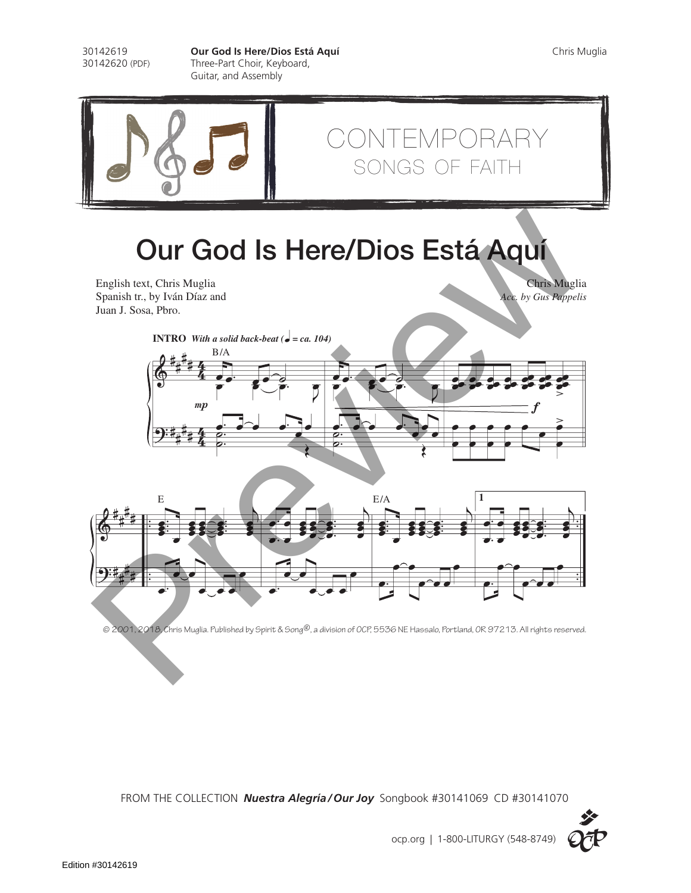30142619 **Our God Is Here/Dios Está Aquí Chris Muglia Chris Muglia**<br>30142620 (PDF) Three-Part Choir, Keyboard, Three-Part Choir, Keyboard, Guitar, and Assembly



contemporary songs of faith

## Our God Is Here/Dios Está Aquí

English text, Chris Muglia Chris Muglia Spanish tr., by Iván Díaz and *Acc. by Gus Pappelis* Juan J. Sosa, Pbro.





© 2001, 2018, Chris Muglia. Published by Spirit & Song®, a division of OCP, 5536 NE Hassalo, Portland, OR 97213. All rights reserved.

FROM THE COLLECTION *Nuestra Alegría / Our Joy* Songbook #30141069 CD #30141070

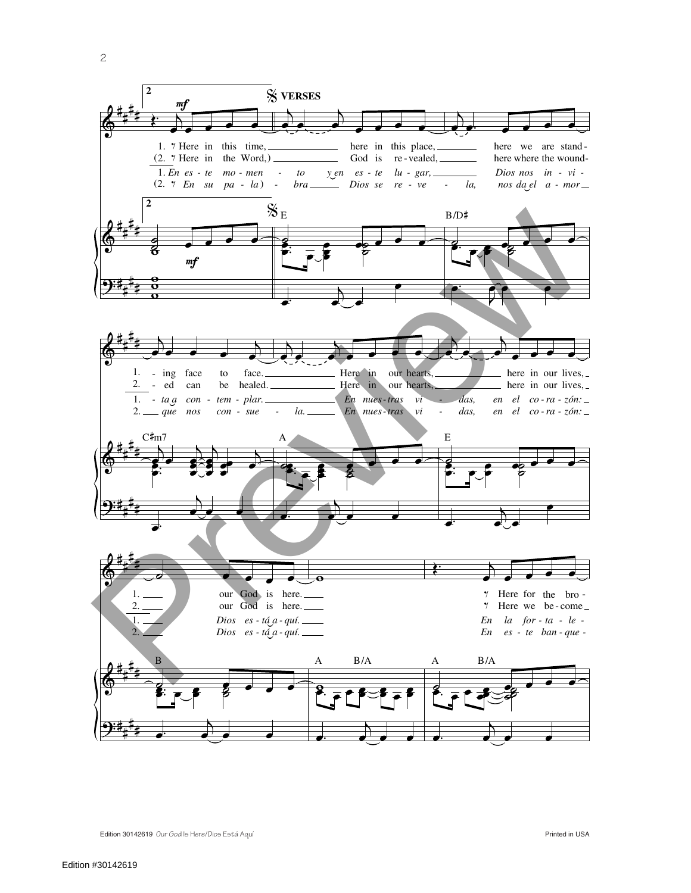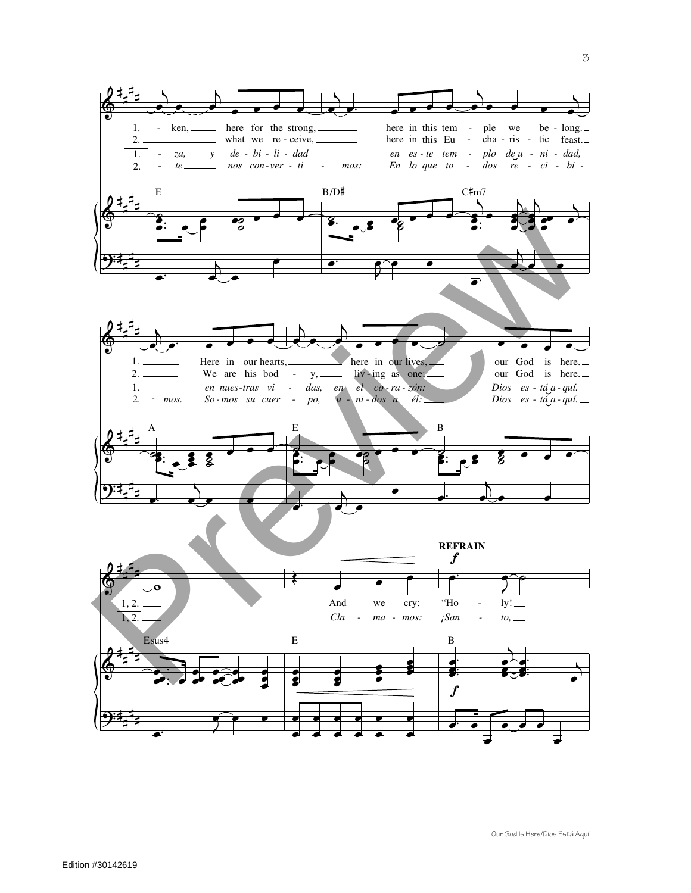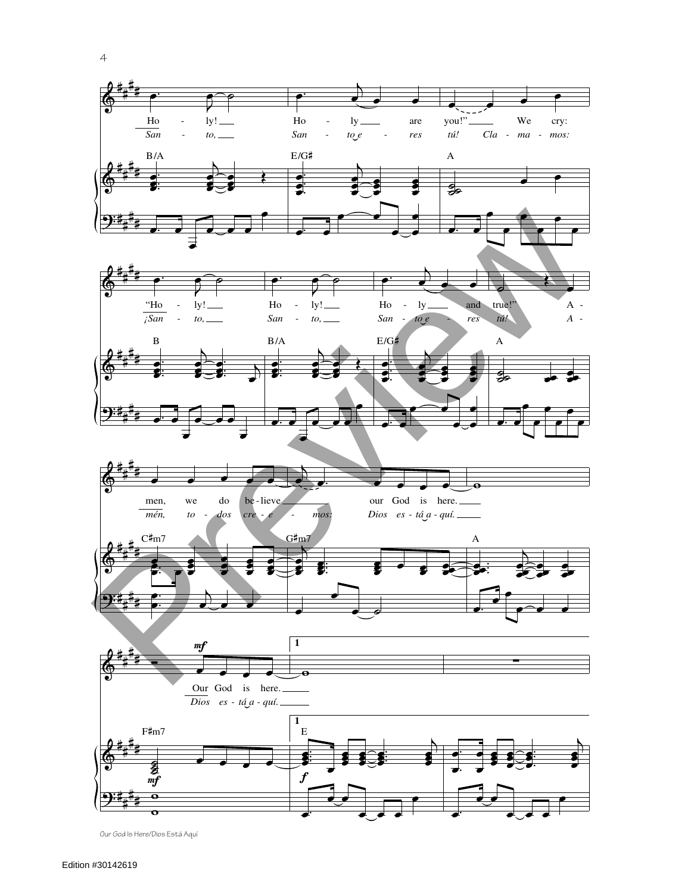

Our God Is Here/Dios Está Aquí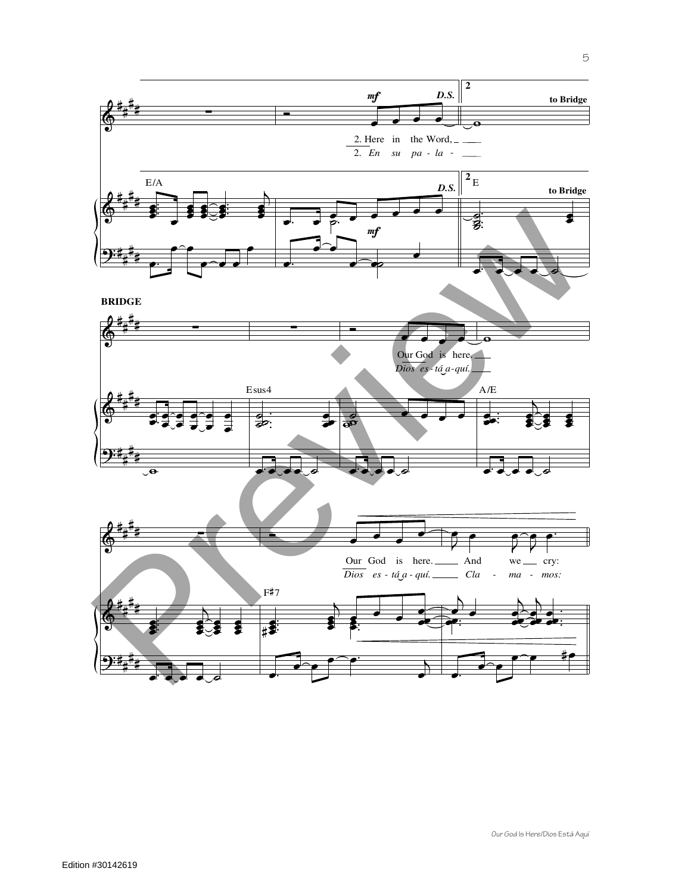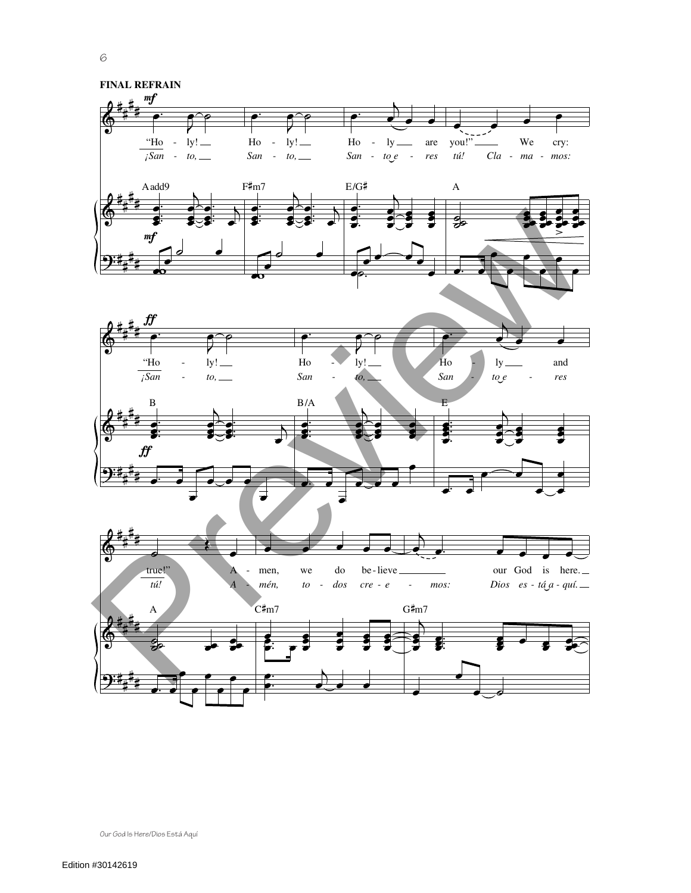



Our God le Here/Dios Está Aquí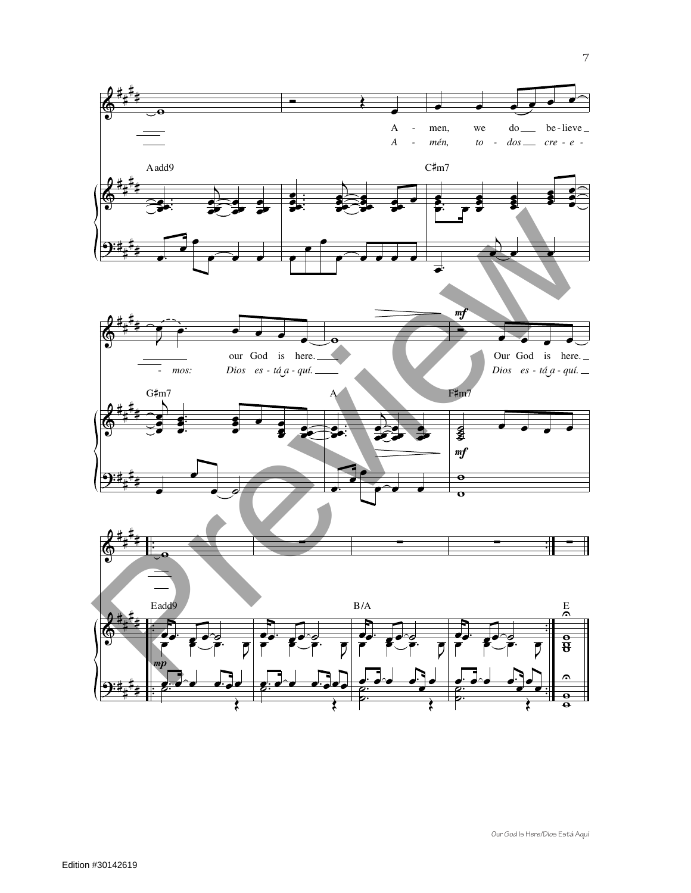

 $\overline{7}$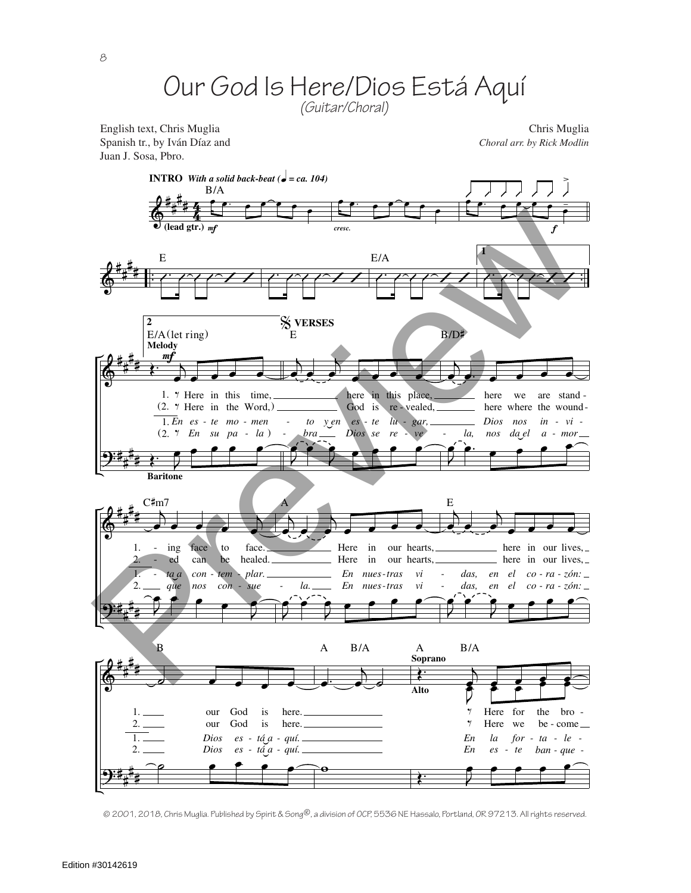## Our God Is Here/Dios Está Aquí

English text, Chris Muglia Spanish tr., by Iván Díaz and Juan J. Sosa, Pbro.

Chris Muglia Choral arr. by Rick Modlin



© 2001, 2018, Chris Muglia. Published by Spirit & Song®, a division of OCP, 5536 NE Hassalo, Portland, OR 97213. All rights reserved.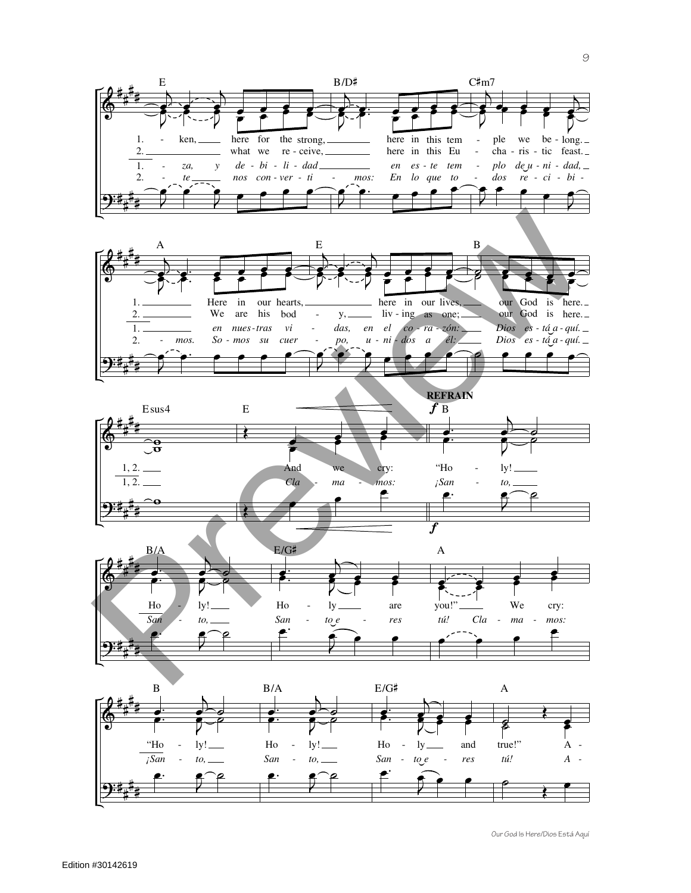









 $\mathcal{G}$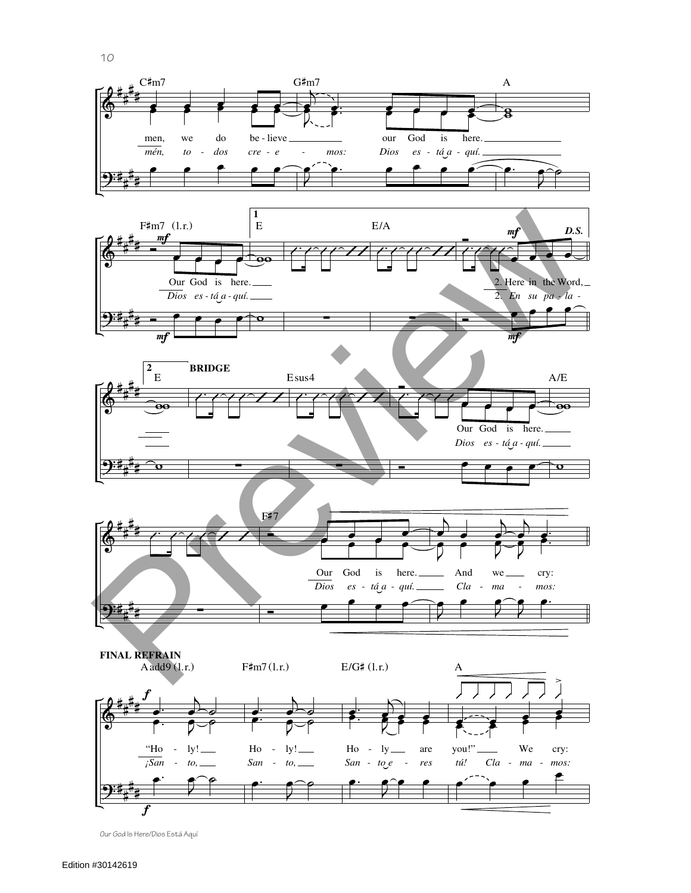

Our God le Here/Dios Está Aquí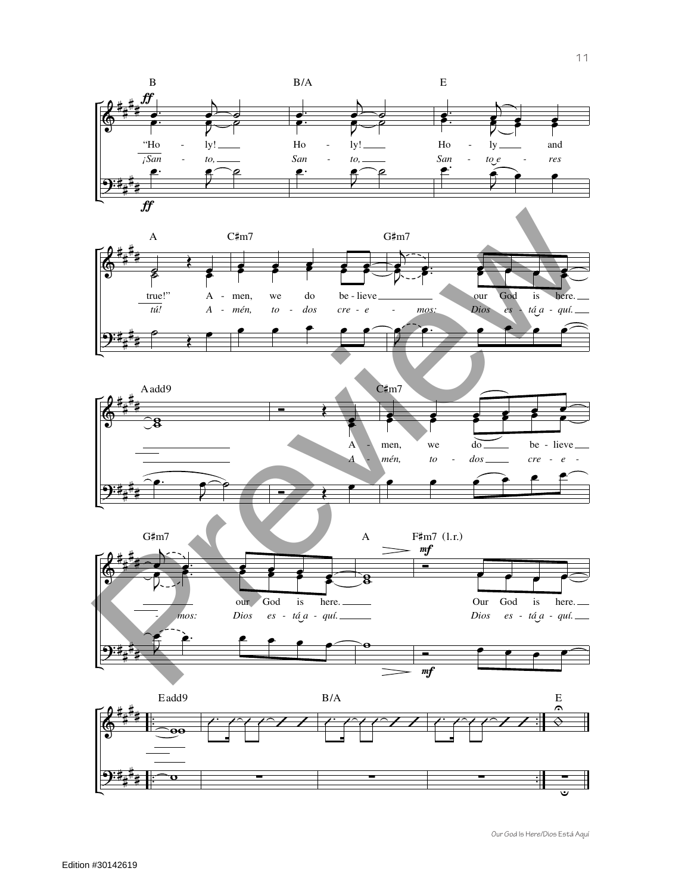